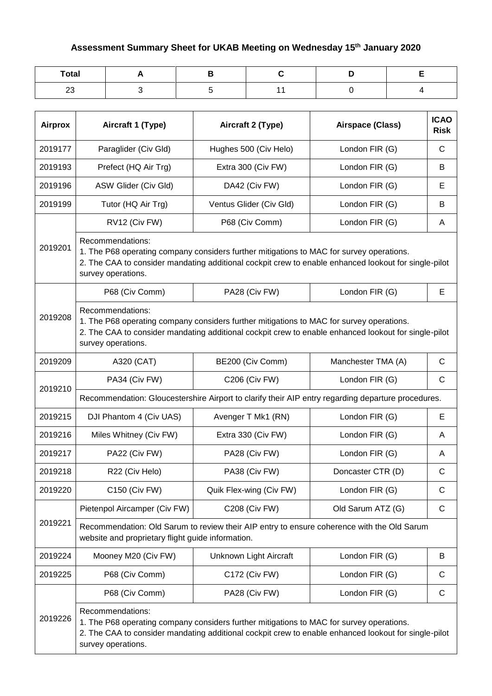## **Assessment Summary Sheet for UKAB Meeting on Wednesday 15th January 2020**

| <b>Total</b> |  |  |  |
|--------------|--|--|--|
| ົ<br>2 J     |  |  |  |

| <b>Airprox</b> | Aircraft 1 (Type)                                                                                                                                                                                                                          | Aircraft 2 (Type)                                                                                                                                                                                | Airspace (Class)   | <b>ICAO</b><br><b>Risk</b> |  |  |
|----------------|--------------------------------------------------------------------------------------------------------------------------------------------------------------------------------------------------------------------------------------------|--------------------------------------------------------------------------------------------------------------------------------------------------------------------------------------------------|--------------------|----------------------------|--|--|
| 2019177        | Paraglider (Civ Gld)                                                                                                                                                                                                                       | Hughes 500 (Civ Helo)                                                                                                                                                                            | London FIR (G)     | $\mathsf{C}$               |  |  |
| 2019193        | Prefect (HQ Air Trg)                                                                                                                                                                                                                       | Extra 300 (Civ FW)                                                                                                                                                                               | London FIR (G)     | B                          |  |  |
| 2019196        | ASW Glider (Civ Gld)                                                                                                                                                                                                                       | DA42 (Civ FW)                                                                                                                                                                                    | London FIR (G)     | Е                          |  |  |
| 2019199        | Tutor (HQ Air Trg)                                                                                                                                                                                                                         | Ventus Glider (Civ Gld)                                                                                                                                                                          | London FIR (G)     | B                          |  |  |
|                | RV12 (Civ FW)                                                                                                                                                                                                                              | P68 (Civ Comm)                                                                                                                                                                                   | London FIR (G)     | A                          |  |  |
| 2019201        | Recommendations:<br>survey operations.                                                                                                                                                                                                     | 1. The P68 operating company considers further mitigations to MAC for survey operations.<br>2. The CAA to consider mandating additional cockpit crew to enable enhanced lookout for single-pilot |                    |                            |  |  |
|                | P68 (Civ Comm)                                                                                                                                                                                                                             | PA28 (Civ FW)                                                                                                                                                                                    | London FIR (G)     | Е                          |  |  |
| 2019208        | Recommendations:<br>1. The P68 operating company considers further mitigations to MAC for survey operations.<br>2. The CAA to consider mandating additional cockpit crew to enable enhanced lookout for single-pilot<br>survey operations. |                                                                                                                                                                                                  |                    |                            |  |  |
| 2019209        | A320 (CAT)                                                                                                                                                                                                                                 | BE200 (Civ Comm)                                                                                                                                                                                 | Manchester TMA (A) | $\mathsf{C}$               |  |  |
| 2019210        | PA34 (Civ FW)                                                                                                                                                                                                                              | C206 (Civ FW)                                                                                                                                                                                    | London FIR (G)     | $\mathsf{C}$               |  |  |
|                | Recommendation: Gloucestershire Airport to clarify their AIP entry regarding departure procedures.                                                                                                                                         |                                                                                                                                                                                                  |                    |                            |  |  |
| 2019215        | DJI Phantom 4 (Civ UAS)                                                                                                                                                                                                                    | Avenger T Mk1 (RN)                                                                                                                                                                               | London FIR (G)     | $\mathsf E$                |  |  |
| 2019216        | Miles Whitney (Civ FW)                                                                                                                                                                                                                     | Extra 330 (Civ FW)                                                                                                                                                                               | London FIR (G)     | A                          |  |  |
| 2019217        | PA22 (Civ FW)                                                                                                                                                                                                                              | PA28 (Civ FW)                                                                                                                                                                                    | London FIR (G)     | A                          |  |  |
| 2019218        | R22 (Civ Helo)                                                                                                                                                                                                                             | PA38 (Civ FW)                                                                                                                                                                                    | Doncaster CTR (D)  | $\mathsf{C}$               |  |  |
| 2019220        | C150 (Civ FW)                                                                                                                                                                                                                              | Quik Flex-wing (Civ FW)                                                                                                                                                                          | London FIR (G)     | $\mathsf{C}$               |  |  |
|                | Pietenpol Aircamper (Civ FW)                                                                                                                                                                                                               | <b>C208 (Civ FW)</b>                                                                                                                                                                             | Old Sarum ATZ (G)  | $\mathsf{C}$               |  |  |
| 2019221        | Recommendation: Old Sarum to review their AIP entry to ensure coherence with the Old Sarum<br>website and proprietary flight guide information.                                                                                            |                                                                                                                                                                                                  |                    |                            |  |  |
| 2019224        | Mooney M20 (Civ FW)                                                                                                                                                                                                                        | Unknown Light Aircraft                                                                                                                                                                           | London FIR (G)     | B                          |  |  |
| 2019225        | P68 (Civ Comm)                                                                                                                                                                                                                             | C172 (Civ FW)                                                                                                                                                                                    | London FIR (G)     | $\mathsf{C}$               |  |  |
|                | P68 (Civ Comm)                                                                                                                                                                                                                             | PA28 (Civ FW)                                                                                                                                                                                    | London FIR (G)     | $\mathsf{C}$               |  |  |
| 2019226        | Recommendations:<br>1. The P68 operating company considers further mitigations to MAC for survey operations.<br>2. The CAA to consider mandating additional cockpit crew to enable enhanced lookout for single-pilot<br>survey operations. |                                                                                                                                                                                                  |                    |                            |  |  |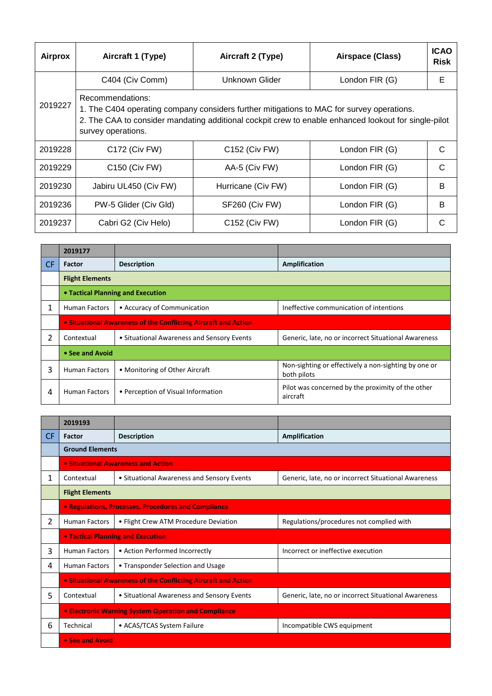| Airprox | Aircraft 1 (Type)                                                                                                                                                                                                                           | Aircraft 2 (Type)  | Airspace (Class) | <b>ICAO</b><br><b>Risk</b> |  |  |
|---------|---------------------------------------------------------------------------------------------------------------------------------------------------------------------------------------------------------------------------------------------|--------------------|------------------|----------------------------|--|--|
|         | C404 (Civ Comm)                                                                                                                                                                                                                             | Unknown Glider     | London FIR (G)   | Е                          |  |  |
| 2019227 | Recommendations:<br>1. The C404 operating company considers further mitigations to MAC for survey operations.<br>2. The CAA to consider mandating additional cockpit crew to enable enhanced lookout for single-pilot<br>survey operations. |                    |                  |                            |  |  |
| 2019228 | C172 (Civ FW)                                                                                                                                                                                                                               | C152 (Civ FW)      | London FIR (G)   | C                          |  |  |
| 2019229 | C150 (Civ FW)                                                                                                                                                                                                                               | AA-5 (Civ FW)      | London FIR (G)   | C                          |  |  |
| 2019230 | Jabiru UL450 (Civ FW)                                                                                                                                                                                                                       | Hurricane (Civ FW) | London FIR (G)   | B                          |  |  |
| 2019236 | PW-5 Glider (Civ Gld)                                                                                                                                                                                                                       | SF260 (Civ FW)     | London FIR (G)   | B                          |  |  |
| 2019237 | Cabri G2 (Civ Helo)                                                                                                                                                                                                                         | C152 (Civ FW)      | London FIR (G)   |                            |  |  |

|     | 2019177                                                        |                                            |                                                                     |  |
|-----|----------------------------------------------------------------|--------------------------------------------|---------------------------------------------------------------------|--|
| CF. | Factor                                                         | <b>Description</b>                         | Amplification                                                       |  |
|     | <b>Flight Elements</b>                                         |                                            |                                                                     |  |
|     | • Tactical Planning and Execution                              |                                            |                                                                     |  |
| 1   | <b>Human Factors</b>                                           | • Accuracy of Communication                | Ineffective communication of intentions                             |  |
|     | • Situational Awareness of the Conflicting Aircraft and Action |                                            |                                                                     |  |
| 2   | Contextual                                                     | • Situational Awareness and Sensory Events | Generic, late, no or incorrect Situational Awareness                |  |
|     | • See and Avoid                                                |                                            |                                                                     |  |
| 3   | <b>Human Factors</b>                                           | • Monitoring of Other Aircraft             | Non-sighting or effectively a non-sighting by one or<br>both pilots |  |
| 4   | <b>Human Factors</b>                                           | • Perception of Visual Information         | Pilot was concerned by the proximity of the other<br>aircraft       |  |

|     | 2019193                                              |                                                                       |                                                      |  |
|-----|------------------------------------------------------|-----------------------------------------------------------------------|------------------------------------------------------|--|
| CF. | Factor                                               | <b>Description</b>                                                    | Amplification                                        |  |
|     | <b>Ground Elements</b>                               |                                                                       |                                                      |  |
|     |                                                      | • Situational Awareness and Action                                    |                                                      |  |
| 1.  | Contextual                                           | • Situational Awareness and Sensory Events                            | Generic, late, no or incorrect Situational Awareness |  |
|     | <b>Flight Elements</b>                               |                                                                       |                                                      |  |
|     |                                                      | <b>• Regulations, Processes, Procedures and Compliance</b>            |                                                      |  |
| 2   | <b>Human Factors</b>                                 | • Flight Crew ATM Procedure Deviation                                 | Regulations/procedures not complied with             |  |
|     |                                                      | <b>• Tactical Planning and Execution</b>                              |                                                      |  |
| 3   | <b>Human Factors</b>                                 | • Action Performed Incorrectly                                        | Incorrect or ineffective execution                   |  |
| 4   | <b>Human Factors</b>                                 | • Transponder Selection and Usage                                     |                                                      |  |
|     |                                                      | <b>• Situational Awareness of the Conflicting Aircraft and Action</b> |                                                      |  |
| 5.  | Contextual                                           | • Situational Awareness and Sensory Events                            | Generic, late, no or incorrect Situational Awareness |  |
|     | • Electronic Warning System Operation and Compliance |                                                                       |                                                      |  |
| 6   | Technical                                            | • ACAS/TCAS System Failure                                            | Incompatible CWS equipment                           |  |
|     | • See and Avoid                                      |                                                                       |                                                      |  |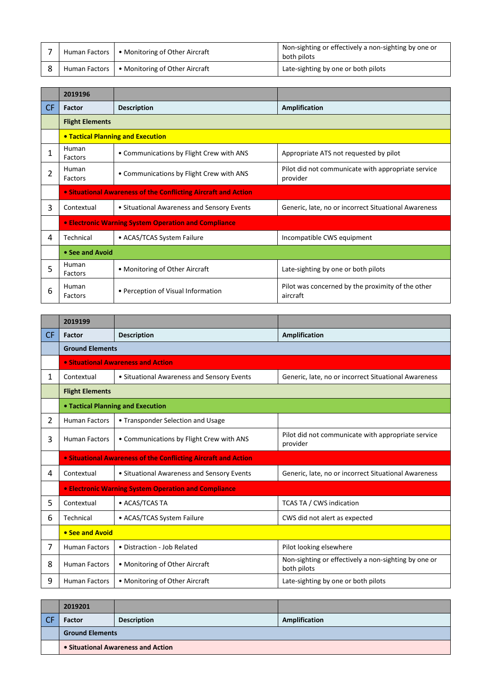|  | Human Factors   • Monitoring of Other Aircraft | Non-sighting or effectively a non-sighting by one or<br>both pilots |
|--|------------------------------------------------|---------------------------------------------------------------------|
|  | Human Factors   • Monitoring of Other Aircraft | Late-sighting by one or both pilots                                 |

|           | 2019196                |                                                                |                                                                |  |
|-----------|------------------------|----------------------------------------------------------------|----------------------------------------------------------------|--|
| <b>CF</b> | <b>Factor</b>          | <b>Description</b>                                             | Amplification                                                  |  |
|           | <b>Flight Elements</b> |                                                                |                                                                |  |
|           |                        | <b>• Tactical Planning and Execution</b>                       |                                                                |  |
| 1         | Human<br>Factors       | • Communications by Flight Crew with ANS                       | Appropriate ATS not requested by pilot                         |  |
| 2         | Human<br>Factors       | • Communications by Flight Crew with ANS                       | Pilot did not communicate with appropriate service<br>provider |  |
|           |                        | • Situational Awareness of the Conflicting Aircraft and Action |                                                                |  |
| 3         | Contextual             | • Situational Awareness and Sensory Events                     | Generic, late, no or incorrect Situational Awareness           |  |
|           |                        | • Electronic Warning System Operation and Compliance           |                                                                |  |
| 4         | Technical              | • ACAS/TCAS System Failure                                     | Incompatible CWS equipment                                     |  |
|           | • See and Avoid        |                                                                |                                                                |  |
| 5         | Human<br>Factors       | • Monitoring of Other Aircraft                                 | Late-sighting by one or both pilots                            |  |
| 6         | Human<br>Factors       | • Perception of Visual Information                             | Pilot was concerned by the proximity of the other<br>aircraft  |  |

|           | 2019199                |                                                                |                                                                     |  |  |
|-----------|------------------------|----------------------------------------------------------------|---------------------------------------------------------------------|--|--|
| <b>CF</b> | Factor                 | <b>Description</b>                                             | Amplification                                                       |  |  |
|           | <b>Ground Elements</b> |                                                                |                                                                     |  |  |
|           |                        | • Situational Awareness and Action                             |                                                                     |  |  |
| 1         | Contextual             | • Situational Awareness and Sensory Events                     | Generic, late, no or incorrect Situational Awareness                |  |  |
|           | <b>Flight Elements</b> |                                                                |                                                                     |  |  |
|           |                        | • Tactical Planning and Execution                              |                                                                     |  |  |
| 2         | <b>Human Factors</b>   | • Transponder Selection and Usage                              |                                                                     |  |  |
| 3         | <b>Human Factors</b>   | • Communications by Flight Crew with ANS                       | Pilot did not communicate with appropriate service<br>provider      |  |  |
|           |                        | • Situational Awareness of the Conflicting Aircraft and Action |                                                                     |  |  |
| 4         | Contextual             | • Situational Awareness and Sensory Events                     | Generic, late, no or incorrect Situational Awareness                |  |  |
|           |                        | <b>.</b> Electronic Warning System Operation and Compliance    |                                                                     |  |  |
| 5         | Contextual             | • ACAS/TCAS TA                                                 | TCAS TA / CWS indication                                            |  |  |
| 6         | Technical              | • ACAS/TCAS System Failure                                     | CWS did not alert as expected                                       |  |  |
|           | • See and Avoid        |                                                                |                                                                     |  |  |
| 7         | <b>Human Factors</b>   | • Distraction - Job Related                                    | Pilot looking elsewhere                                             |  |  |
| 8         | <b>Human Factors</b>   | • Monitoring of Other Aircraft                                 | Non-sighting or effectively a non-sighting by one or<br>both pilots |  |  |
| 9         | <b>Human Factors</b>   | • Monitoring of Other Aircraft                                 | Late-sighting by one or both pilots                                 |  |  |

| 2019201                            |                    |               |
|------------------------------------|--------------------|---------------|
| <b>Factor</b>                      | <b>Description</b> | Amplification |
| <b>Ground Elements</b>             |                    |               |
| • Situational Awareness and Action |                    |               |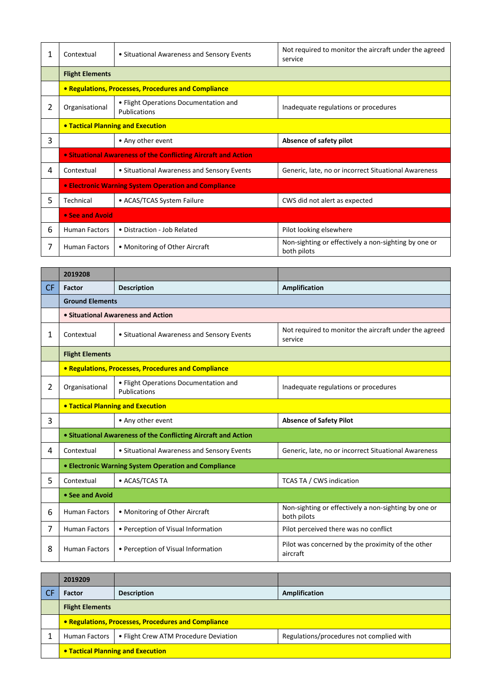| 1  | Contextual                               | • Situational Awareness and Sensory Events                     | Not required to monitor the aircraft under the agreed<br>service    |  |
|----|------------------------------------------|----------------------------------------------------------------|---------------------------------------------------------------------|--|
|    | <b>Flight Elements</b>                   |                                                                |                                                                     |  |
|    |                                          | • Regulations, Processes, Procedures and Compliance            |                                                                     |  |
| 2  | Organisational                           | • Flight Operations Documentation and<br>Publications          | Inadequate regulations or procedures                                |  |
|    | <b>• Tactical Planning and Execution</b> |                                                                |                                                                     |  |
| 3  |                                          | • Any other event                                              | Absence of safety pilot                                             |  |
|    |                                          | • Situational Awareness of the Conflicting Aircraft and Action |                                                                     |  |
| 4  | Contextual                               | • Situational Awareness and Sensory Events                     | Generic, late, no or incorrect Situational Awareness                |  |
|    |                                          | <b>• Electronic Warning System Operation and Compliance</b>    |                                                                     |  |
| 5. | Technical                                | • ACAS/TCAS System Failure                                     | CWS did not alert as expected                                       |  |
|    | • See and Avoid                          |                                                                |                                                                     |  |
| 6  | <b>Human Factors</b>                     | • Distraction - Job Related                                    | Pilot looking elsewhere                                             |  |
| 7  | <b>Human Factors</b>                     | • Monitoring of Other Aircraft                                 | Non-sighting or effectively a non-sighting by one or<br>both pilots |  |

|                | 2019208                                             |                                                                |                                                                     |  |  |
|----------------|-----------------------------------------------------|----------------------------------------------------------------|---------------------------------------------------------------------|--|--|
| CF.            | Factor                                              | <b>Description</b>                                             | Amplification                                                       |  |  |
|                | <b>Ground Elements</b>                              |                                                                |                                                                     |  |  |
|                |                                                     | • Situational Awareness and Action                             |                                                                     |  |  |
| 1              | Contextual                                          | • Situational Awareness and Sensory Events                     | Not required to monitor the aircraft under the agreed<br>service    |  |  |
|                | <b>Flight Elements</b>                              |                                                                |                                                                     |  |  |
|                | • Regulations, Processes, Procedures and Compliance |                                                                |                                                                     |  |  |
| $\overline{2}$ | Organisational                                      | • Flight Operations Documentation and<br>Publications          | Inadequate regulations or procedures                                |  |  |
|                | <b>. Tactical Planning and Execution</b>            |                                                                |                                                                     |  |  |
| 3              |                                                     | • Any other event                                              | <b>Absence of Safety Pilot</b>                                      |  |  |
|                |                                                     | • Situational Awareness of the Conflicting Aircraft and Action |                                                                     |  |  |
| 4              | Contextual                                          | • Situational Awareness and Sensory Events                     | Generic, late, no or incorrect Situational Awareness                |  |  |
|                |                                                     | • Electronic Warning System Operation and Compliance           |                                                                     |  |  |
| 5              | Contextual                                          | • ACAS/TCAS TA                                                 | TCAS TA / CWS indication                                            |  |  |
|                | • See and Avoid                                     |                                                                |                                                                     |  |  |
| 6              | <b>Human Factors</b>                                | • Monitoring of Other Aircraft                                 | Non-sighting or effectively a non-sighting by one or<br>both pilots |  |  |
| 7              | <b>Human Factors</b>                                | • Perception of Visual Information                             | Pilot perceived there was no conflict                               |  |  |
| 8              | <b>Human Factors</b>                                | • Perception of Visual Information                             | Pilot was concerned by the proximity of the other<br>aircraft       |  |  |

| 2019209                                             |                                       |                                          |  |
|-----------------------------------------------------|---------------------------------------|------------------------------------------|--|
| <b>Factor</b>                                       | <b>Description</b>                    | Amplification                            |  |
| <b>Flight Elements</b>                              |                                       |                                          |  |
| • Regulations, Processes, Procedures and Compliance |                                       |                                          |  |
| <b>Human Factors</b>                                | • Flight Crew ATM Procedure Deviation | Regulations/procedures not complied with |  |
| • Tactical Planning and Execution                   |                                       |                                          |  |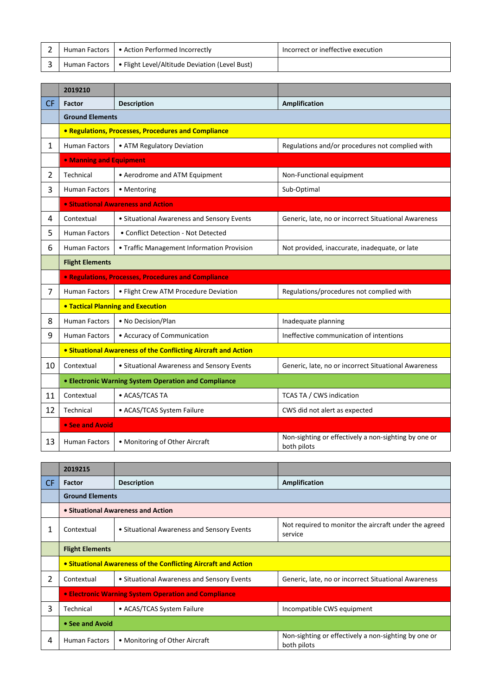|  | Human Factors   • Action Performed Incorrectly                 | Incorrect or ineffective execution |
|--|----------------------------------------------------------------|------------------------------------|
|  | Human Factors   • Flight Level/Altitude Deviation (Level Bust) |                                    |

|           | 2019210                                              |                                                                |                                                                     |
|-----------|------------------------------------------------------|----------------------------------------------------------------|---------------------------------------------------------------------|
| <b>CF</b> | <b>Factor</b>                                        | <b>Description</b>                                             | <b>Amplification</b>                                                |
|           | <b>Ground Elements</b>                               |                                                                |                                                                     |
|           |                                                      | • Regulations, Processes, Procedures and Compliance            |                                                                     |
| 1         | <b>Human Factors</b>                                 | • ATM Regulatory Deviation                                     | Regulations and/or procedures not complied with                     |
|           | <b>• Manning and Equipment</b>                       |                                                                |                                                                     |
| 2         | Technical                                            | • Aerodrome and ATM Equipment                                  | Non-Functional equipment                                            |
| 3         | <b>Human Factors</b>                                 | • Mentoring                                                    | Sub-Optimal                                                         |
|           |                                                      | <b>• Situational Awareness and Action</b>                      |                                                                     |
| 4         | Contextual                                           | • Situational Awareness and Sensory Events                     | Generic, late, no or incorrect Situational Awareness                |
| 5         | <b>Human Factors</b>                                 | • Conflict Detection - Not Detected                            |                                                                     |
| 6         | <b>Human Factors</b>                                 | • Traffic Management Information Provision                     | Not provided, inaccurate, inadequate, or late                       |
|           | <b>Flight Elements</b>                               |                                                                |                                                                     |
|           |                                                      | • Regulations, Processes, Procedures and Compliance            |                                                                     |
| 7         | <b>Human Factors</b>                                 | • Flight Crew ATM Procedure Deviation                          | Regulations/procedures not complied with                            |
|           |                                                      | <b>. Tactical Planning and Execution</b>                       |                                                                     |
| 8         | <b>Human Factors</b>                                 | • No Decision/Plan                                             | Inadequate planning                                                 |
| 9         | <b>Human Factors</b>                                 | • Accuracy of Communication                                    | Ineffective communication of intentions                             |
|           |                                                      | • Situational Awareness of the Conflicting Aircraft and Action |                                                                     |
| 10        | Contextual                                           | • Situational Awareness and Sensory Events                     | Generic, late, no or incorrect Situational Awareness                |
|           | • Electronic Warning System Operation and Compliance |                                                                |                                                                     |
| 11        | Contextual                                           | • ACAS/TCAS TA                                                 | TCAS TA / CWS indication                                            |
| 12        | Technical                                            | • ACAS/TCAS System Failure                                     | CWS did not alert as expected                                       |
|           | • See and Avoid                                      |                                                                |                                                                     |
| 13        | <b>Human Factors</b>                                 | • Monitoring of Other Aircraft                                 | Non-sighting or effectively a non-sighting by one or<br>both pilots |

|                | 2019215                |                                                                |                                                                     |  |
|----------------|------------------------|----------------------------------------------------------------|---------------------------------------------------------------------|--|
| <b>CF</b>      | <b>Factor</b>          | <b>Description</b>                                             | Amplification                                                       |  |
|                | <b>Ground Elements</b> |                                                                |                                                                     |  |
|                |                        | • Situational Awareness and Action                             |                                                                     |  |
|                | Contextual             | • Situational Awareness and Sensory Events                     | Not required to monitor the aircraft under the agreed<br>service    |  |
|                | <b>Flight Elements</b> |                                                                |                                                                     |  |
|                |                        | • Situational Awareness of the Conflicting Aircraft and Action |                                                                     |  |
| $\mathfrak{p}$ | Contextual             | • Situational Awareness and Sensory Events                     | Generic, late, no or incorrect Situational Awareness                |  |
|                |                        | • Electronic Warning System Operation and Compliance           |                                                                     |  |
| 3              | Technical              | • ACAS/TCAS System Failure                                     | Incompatible CWS equipment                                          |  |
|                | • See and Avoid        |                                                                |                                                                     |  |
| 4              | <b>Human Factors</b>   | • Monitoring of Other Aircraft                                 | Non-sighting or effectively a non-sighting by one or<br>both pilots |  |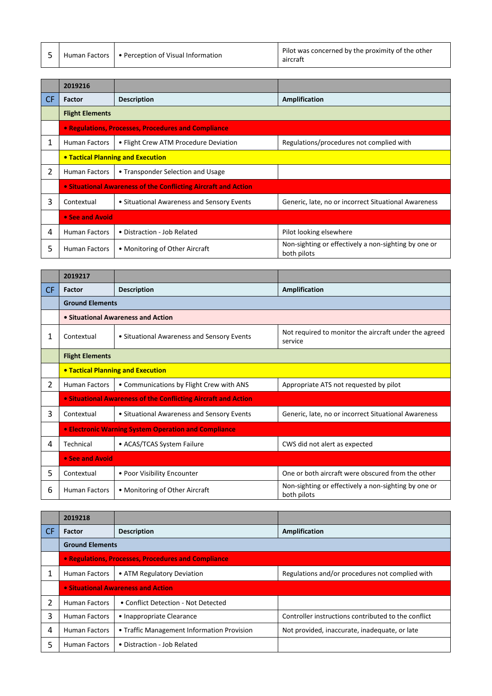|  |  | Human Factors   • Perception of Visual Information | Pilot was concerned by the proximity of the other<br>aircraft |
|--|--|----------------------------------------------------|---------------------------------------------------------------|
|--|--|----------------------------------------------------|---------------------------------------------------------------|

|           | 2019216                                  |                                                                |                                                                     |
|-----------|------------------------------------------|----------------------------------------------------------------|---------------------------------------------------------------------|
| <b>CF</b> | Factor                                   | <b>Description</b>                                             | Amplification                                                       |
|           | <b>Flight Elements</b>                   |                                                                |                                                                     |
|           |                                          | <b>• Regulations, Processes, Procedures and Compliance</b>     |                                                                     |
| 1         | <b>Human Factors</b>                     | • Flight Crew ATM Procedure Deviation                          | Regulations/procedures not complied with                            |
|           | <b>• Tactical Planning and Execution</b> |                                                                |                                                                     |
| 2         | <b>Human Factors</b>                     | • Transponder Selection and Usage                              |                                                                     |
|           |                                          | • Situational Awareness of the Conflicting Aircraft and Action |                                                                     |
| 3         | Contextual                               | • Situational Awareness and Sensory Events                     | Generic, late, no or incorrect Situational Awareness                |
|           | • See and Avoid                          |                                                                |                                                                     |
| 4         | <b>Human Factors</b>                     | • Distraction - Job Related                                    | Pilot looking elsewhere                                             |
| 5         | <b>Human Factors</b>                     | • Monitoring of Other Aircraft                                 | Non-sighting or effectively a non-sighting by one or<br>both pilots |

|     | 2019217                           |                                                                |                                                                     |
|-----|-----------------------------------|----------------------------------------------------------------|---------------------------------------------------------------------|
| CF. | Factor                            | <b>Description</b>                                             | <b>Amplification</b>                                                |
|     | <b>Ground Elements</b>            |                                                                |                                                                     |
|     |                                   | • Situational Awareness and Action                             |                                                                     |
| 1   | Contextual                        | • Situational Awareness and Sensory Events                     | Not required to monitor the aircraft under the agreed<br>service    |
|     | <b>Flight Elements</b>            |                                                                |                                                                     |
|     | • Tactical Planning and Execution |                                                                |                                                                     |
| 2   | <b>Human Factors</b>              | • Communications by Flight Crew with ANS                       | Appropriate ATS not requested by pilot                              |
|     |                                   | • Situational Awareness of the Conflicting Aircraft and Action |                                                                     |
| 3   | Contextual                        | • Situational Awareness and Sensory Events                     | Generic, late, no or incorrect Situational Awareness                |
|     |                                   | <b>• Electronic Warning System Operation and Compliance</b>    |                                                                     |
| 4   | Technical                         | • ACAS/TCAS System Failure                                     | CWS did not alert as expected                                       |
|     | • See and Avoid                   |                                                                |                                                                     |
| 5   | Contextual                        | • Poor Visibility Encounter                                    | One or both aircraft were obscured from the other                   |
| 6   | <b>Human Factors</b>              | • Monitoring of Other Aircraft                                 | Non-sighting or effectively a non-sighting by one or<br>both pilots |

|           | 2019218                                             |                                            |                                                     |
|-----------|-----------------------------------------------------|--------------------------------------------|-----------------------------------------------------|
| <b>CF</b> | Factor                                              | <b>Description</b>                         | Amplification                                       |
|           | <b>Ground Elements</b>                              |                                            |                                                     |
|           | • Regulations, Processes, Procedures and Compliance |                                            |                                                     |
| 1         | <b>Human Factors</b>                                | • ATM Regulatory Deviation                 | Regulations and/or procedures not complied with     |
|           | • Situational Awareness and Action                  |                                            |                                                     |
| 2         | <b>Human Factors</b>                                | • Conflict Detection - Not Detected        |                                                     |
| 3         | Human Factors                                       | • Inappropriate Clearance                  | Controller instructions contributed to the conflict |
| 4         | <b>Human Factors</b>                                | • Traffic Management Information Provision | Not provided, inaccurate, inadequate, or late       |
| 5         | <b>Human Factors</b>                                | • Distraction - Job Related                |                                                     |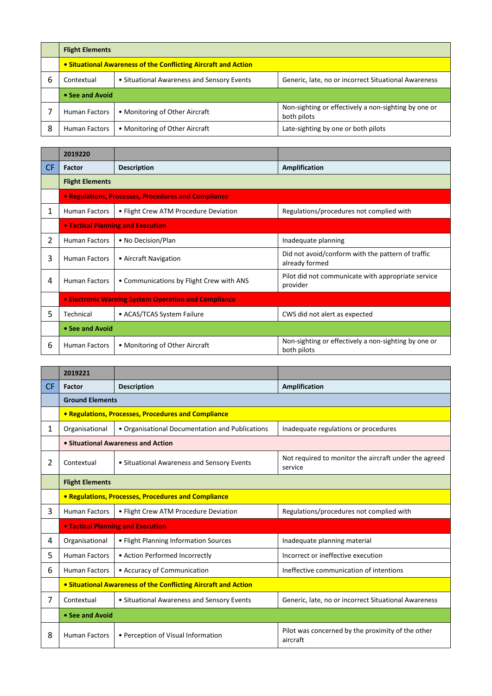|   | <b>Flight Elements</b>                                         |                                            |                                                                     |
|---|----------------------------------------------------------------|--------------------------------------------|---------------------------------------------------------------------|
|   | • Situational Awareness of the Conflicting Aircraft and Action |                                            |                                                                     |
| b | Contextual                                                     | • Situational Awareness and Sensory Events | Generic, late, no or incorrect Situational Awareness                |
|   | • See and Avoid                                                |                                            |                                                                     |
|   | <b>Human Factors</b>                                           | • Monitoring of Other Aircraft             | Non-sighting or effectively a non-sighting by one or<br>both pilots |
| 8 | Human Factors                                                  | • Monitoring of Other Aircraft             | Late-sighting by one or both pilots                                 |

|           | 2019220                |                                                      |                                                                     |
|-----------|------------------------|------------------------------------------------------|---------------------------------------------------------------------|
| <b>CF</b> | Factor                 | <b>Description</b>                                   | Amplification                                                       |
|           | <b>Flight Elements</b> |                                                      |                                                                     |
|           |                        | • Regulations, Processes, Procedures and Compliance  |                                                                     |
| 1         | <b>Human Factors</b>   | • Flight Crew ATM Procedure Deviation                | Regulations/procedures not complied with                            |
|           |                        | • Tactical Planning and Execution                    |                                                                     |
| 2         | <b>Human Factors</b>   | • No Decision/Plan                                   | Inadequate planning                                                 |
| 3         | <b>Human Factors</b>   | • Aircraft Navigation                                | Did not avoid/conform with the pattern of traffic<br>already formed |
| 4         | <b>Human Factors</b>   | • Communications by Flight Crew with ANS             | Pilot did not communicate with appropriate service<br>provider      |
|           |                        | • Electronic Warning System Operation and Compliance |                                                                     |
| 5         | Technical              | • ACAS/TCAS System Failure                           | CWS did not alert as expected                                       |
|           | • See and Avoid        |                                                      |                                                                     |
| 6         | <b>Human Factors</b>   | • Monitoring of Other Aircraft                       | Non-sighting or effectively a non-sighting by one or<br>both pilots |

|           | 2019221                                                        |                                                     |                                                                  |  |
|-----------|----------------------------------------------------------------|-----------------------------------------------------|------------------------------------------------------------------|--|
| <b>CF</b> | Factor                                                         | <b>Description</b>                                  | Amplification                                                    |  |
|           | <b>Ground Elements</b>                                         |                                                     |                                                                  |  |
|           |                                                                | • Regulations, Processes, Procedures and Compliance |                                                                  |  |
| 1         | Organisational                                                 | • Organisational Documentation and Publications     | Inadequate regulations or procedures                             |  |
|           |                                                                | • Situational Awareness and Action                  |                                                                  |  |
| 2         | Contextual                                                     | • Situational Awareness and Sensory Events          | Not required to monitor the aircraft under the agreed<br>service |  |
|           | <b>Flight Elements</b>                                         |                                                     |                                                                  |  |
|           |                                                                | • Regulations, Processes, Procedures and Compliance |                                                                  |  |
| 3         | <b>Human Factors</b>                                           | • Flight Crew ATM Procedure Deviation               | Regulations/procedures not complied with                         |  |
|           |                                                                | <b>• Tactical Planning and Execution</b>            |                                                                  |  |
| 4         | Organisational                                                 | • Flight Planning Information Sources               | Inadequate planning material                                     |  |
| 5         | <b>Human Factors</b>                                           | • Action Performed Incorrectly                      | Incorrect or ineffective execution                               |  |
| 6         | <b>Human Factors</b>                                           | • Accuracy of Communication                         | Ineffective communication of intentions                          |  |
|           | • Situational Awareness of the Conflicting Aircraft and Action |                                                     |                                                                  |  |
| 7         | Contextual                                                     | • Situational Awareness and Sensory Events          | Generic, late, no or incorrect Situational Awareness             |  |
|           | • See and Avoid                                                |                                                     |                                                                  |  |
| 8         | <b>Human Factors</b>                                           | • Perception of Visual Information                  | Pilot was concerned by the proximity of the other<br>aircraft    |  |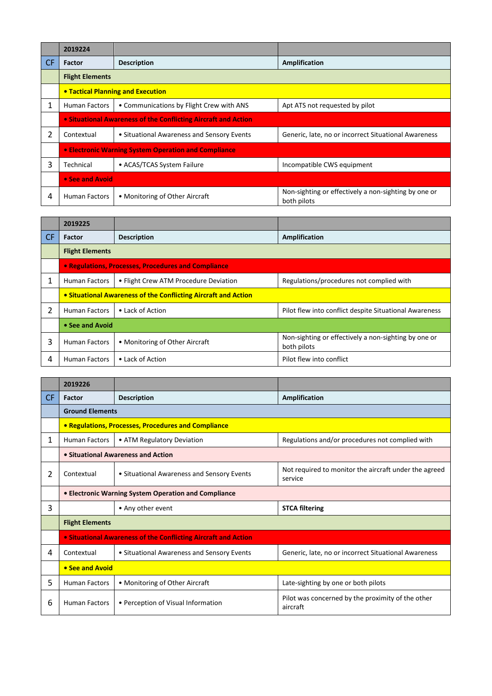|           | 2019224                                                        |                                                             |                                                                     |  |
|-----------|----------------------------------------------------------------|-------------------------------------------------------------|---------------------------------------------------------------------|--|
| <b>CF</b> | <b>Factor</b>                                                  | <b>Description</b>                                          | Amplification                                                       |  |
|           | <b>Flight Elements</b>                                         |                                                             |                                                                     |  |
|           |                                                                | • Tactical Planning and Execution                           |                                                                     |  |
|           | Human Factors                                                  | • Communications by Flight Crew with ANS                    | Apt ATS not requested by pilot                                      |  |
|           | • Situational Awareness of the Conflicting Aircraft and Action |                                                             |                                                                     |  |
| 2         | Contextual                                                     | • Situational Awareness and Sensory Events                  | Generic, late, no or incorrect Situational Awareness                |  |
|           |                                                                | <b>• Electronic Warning System Operation and Compliance</b> |                                                                     |  |
| 3         | Technical                                                      | • ACAS/TCAS System Failure                                  | Incompatible CWS equipment                                          |  |
|           | • See and Avoid                                                |                                                             |                                                                     |  |
| 4         | <b>Human Factors</b>                                           | • Monitoring of Other Aircraft                              | Non-sighting or effectively a non-sighting by one or<br>both pilots |  |

|           | 2019225                                                        |                                       |                                                                     |
|-----------|----------------------------------------------------------------|---------------------------------------|---------------------------------------------------------------------|
| <b>CF</b> | Factor                                                         | <b>Description</b>                    | Amplification                                                       |
|           | <b>Flight Elements</b>                                         |                                       |                                                                     |
|           | • Regulations, Processes, Procedures and Compliance            |                                       |                                                                     |
| 1         | <b>Human Factors</b>                                           | • Flight Crew ATM Procedure Deviation | Regulations/procedures not complied with                            |
|           | • Situational Awareness of the Conflicting Aircraft and Action |                                       |                                                                     |
| 2         | <b>Human Factors</b>                                           | • Lack of Action                      | Pilot flew into conflict despite Situational Awareness              |
|           | • See and Avoid                                                |                                       |                                                                     |
| 3         | <b>Human Factors</b>                                           | • Monitoring of Other Aircraft        | Non-sighting or effectively a non-sighting by one or<br>both pilots |
| 4         | Human Factors                                                  | • Lack of Action                      | Pilot flew into conflict                                            |

|    | 2019226                                                               |                                                            |                                                                  |  |
|----|-----------------------------------------------------------------------|------------------------------------------------------------|------------------------------------------------------------------|--|
| CF | Factor                                                                | <b>Description</b>                                         | Amplification                                                    |  |
|    | <b>Ground Elements</b>                                                |                                                            |                                                                  |  |
|    |                                                                       | <b>• Regulations, Processes, Procedures and Compliance</b> |                                                                  |  |
| 1  | <b>Human Factors</b>                                                  | • ATM Regulatory Deviation                                 | Regulations and/or procedures not complied with                  |  |
|    | • Situational Awareness and Action                                    |                                                            |                                                                  |  |
| 2  | Contextual                                                            | • Situational Awareness and Sensory Events                 | Not required to monitor the aircraft under the agreed<br>service |  |
|    | • Electronic Warning System Operation and Compliance                  |                                                            |                                                                  |  |
| 3  |                                                                       | • Any other event                                          | <b>STCA filtering</b>                                            |  |
|    | <b>Flight Elements</b>                                                |                                                            |                                                                  |  |
|    | <b>• Situational Awareness of the Conflicting Aircraft and Action</b> |                                                            |                                                                  |  |
| 4  | Contextual                                                            | • Situational Awareness and Sensory Events                 | Generic, late, no or incorrect Situational Awareness             |  |
|    | • See and Avoid                                                       |                                                            |                                                                  |  |
| 5. | <b>Human Factors</b>                                                  | • Monitoring of Other Aircraft                             | Late-sighting by one or both pilots                              |  |
| 6  | <b>Human Factors</b>                                                  | • Perception of Visual Information                         | Pilot was concerned by the proximity of the other<br>aircraft    |  |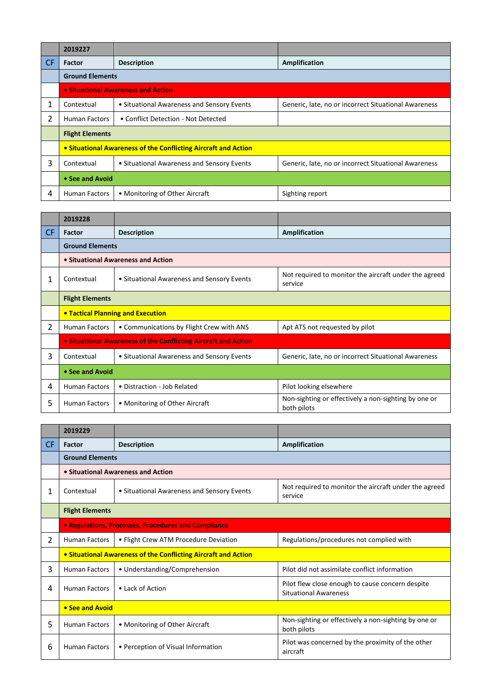|           | 2019227                                                        |                                            |                                                      |
|-----------|----------------------------------------------------------------|--------------------------------------------|------------------------------------------------------|
| <b>CF</b> | <b>Factor</b>                                                  | <b>Description</b>                         | Amplification                                        |
|           | <b>Ground Elements</b>                                         |                                            |                                                      |
|           | • Situational Awareness and Action                             |                                            |                                                      |
|           | Contextual                                                     | • Situational Awareness and Sensory Events | Generic, late, no or incorrect Situational Awareness |
| 2         | <b>Human Factors</b>                                           | • Conflict Detection - Not Detected        |                                                      |
|           | <b>Flight Elements</b>                                         |                                            |                                                      |
|           | • Situational Awareness of the Conflicting Aircraft and Action |                                            |                                                      |
| 3         | Contextual                                                     | • Situational Awareness and Sensory Events | Generic, late, no or incorrect Situational Awareness |
|           | • See and Avoid                                                |                                            |                                                      |
| 4         | <b>Human Factors</b>                                           | • Monitoring of Other Aircraft             | Sighting report                                      |

|     | 2019228                                                               |                                            |                                                                     |
|-----|-----------------------------------------------------------------------|--------------------------------------------|---------------------------------------------------------------------|
| CF. | Factor                                                                | <b>Description</b>                         | Amplification                                                       |
|     | <b>Ground Elements</b>                                                |                                            |                                                                     |
|     | • Situational Awareness and Action                                    |                                            |                                                                     |
| 1   | Contextual                                                            | • Situational Awareness and Sensory Events | Not required to monitor the aircraft under the agreed<br>service    |
|     | <b>Flight Elements</b>                                                |                                            |                                                                     |
|     | <b>. Tactical Planning and Execution</b>                              |                                            |                                                                     |
| 2   | <b>Human Factors</b>                                                  | • Communications by Flight Crew with ANS   | Apt ATS not requested by pilot                                      |
|     | <b>• Situational Awareness of the Conflicting Aircraft and Action</b> |                                            |                                                                     |
| 3   | Contextual                                                            | • Situational Awareness and Sensory Events | Generic, late, no or incorrect Situational Awareness                |
|     | • See and Avoid                                                       |                                            |                                                                     |
| 4   | <b>Human Factors</b>                                                  | • Distraction - Job Related                | Pilot looking elsewhere                                             |
| 5   | <b>Human Factors</b>                                                  | • Monitoring of Other Aircraft             | Non-sighting or effectively a non-sighting by one or<br>both pilots |

|                | 2019229                                                        |                                            |                                                                                  |  |  |
|----------------|----------------------------------------------------------------|--------------------------------------------|----------------------------------------------------------------------------------|--|--|
| <b>CF</b>      | Factor                                                         | <b>Description</b>                         | <b>Amplification</b>                                                             |  |  |
|                |                                                                | <b>Ground Elements</b>                     |                                                                                  |  |  |
|                |                                                                | • Situational Awareness and Action         |                                                                                  |  |  |
|                | Contextual                                                     | • Situational Awareness and Sensory Events | Not required to monitor the aircraft under the agreed<br>service                 |  |  |
|                | <b>Flight Elements</b>                                         |                                            |                                                                                  |  |  |
|                | • Regulations, Processes, Procedures and Compliance            |                                            |                                                                                  |  |  |
| $\overline{2}$ | <b>Human Factors</b>                                           | • Flight Crew ATM Procedure Deviation      | Regulations/procedures not complied with                                         |  |  |
|                | • Situational Awareness of the Conflicting Aircraft and Action |                                            |                                                                                  |  |  |
| 3              | <b>Human Factors</b>                                           | • Understanding/Comprehension              | Pilot did not assimilate conflict information                                    |  |  |
| 4              | <b>Human Factors</b>                                           | • Lack of Action                           | Pilot flew close enough to cause concern despite<br><b>Situational Awareness</b> |  |  |
|                | • See and Avoid                                                |                                            |                                                                                  |  |  |
| 5              | <b>Human Factors</b>                                           | • Monitoring of Other Aircraft             | Non-sighting or effectively a non-sighting by one or<br>both pilots              |  |  |
| 6              | <b>Human Factors</b>                                           | • Perception of Visual Information         | Pilot was concerned by the proximity of the other<br>aircraft                    |  |  |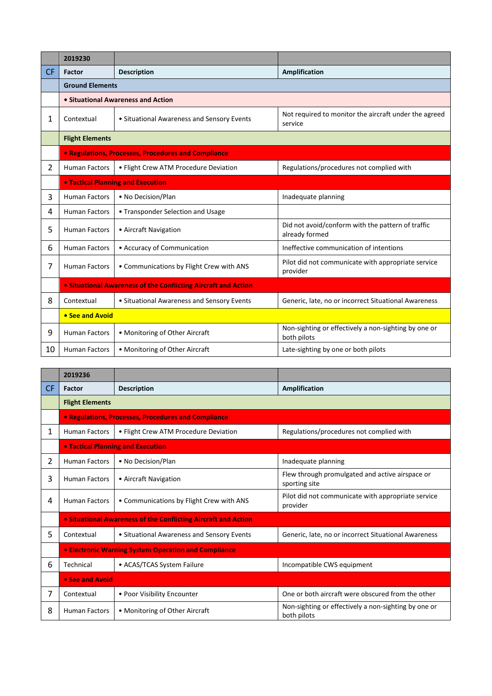|                | 2019230                                                               |                                            |                                                                     |  |
|----------------|-----------------------------------------------------------------------|--------------------------------------------|---------------------------------------------------------------------|--|
| <b>CF</b>      | Factor                                                                | <b>Description</b>                         | <b>Amplification</b>                                                |  |
|                | <b>Ground Elements</b>                                                |                                            |                                                                     |  |
|                |                                                                       | • Situational Awareness and Action         |                                                                     |  |
| 1              | Contextual                                                            | • Situational Awareness and Sensory Events | Not required to monitor the aircraft under the agreed<br>service    |  |
|                | <b>Flight Elements</b>                                                |                                            |                                                                     |  |
|                | <b>• Regulations, Processes, Procedures and Compliance</b>            |                                            |                                                                     |  |
| $\overline{2}$ | <b>Human Factors</b>                                                  | • Flight Crew ATM Procedure Deviation      | Regulations/procedures not complied with                            |  |
|                |                                                                       | <b>• Tactical Planning and Execution</b>   |                                                                     |  |
| 3              | <b>Human Factors</b>                                                  | • No Decision/Plan                         | Inadequate planning                                                 |  |
| 4              | <b>Human Factors</b>                                                  | • Transponder Selection and Usage          |                                                                     |  |
| 5              | <b>Human Factors</b>                                                  | • Aircraft Navigation                      | Did not avoid/conform with the pattern of traffic<br>already formed |  |
| 6              | <b>Human Factors</b>                                                  | • Accuracy of Communication                | Ineffective communication of intentions                             |  |
| 7              | <b>Human Factors</b>                                                  | • Communications by Flight Crew with ANS   | Pilot did not communicate with appropriate service<br>provider      |  |
|                | <b>• Situational Awareness of the Conflicting Aircraft and Action</b> |                                            |                                                                     |  |
| 8              | Contextual                                                            | • Situational Awareness and Sensory Events | Generic, late, no or incorrect Situational Awareness                |  |
|                | • See and Avoid                                                       |                                            |                                                                     |  |
| 9              | <b>Human Factors</b>                                                  | • Monitoring of Other Aircraft             | Non-sighting or effectively a non-sighting by one or<br>both pilots |  |
| 10             | <b>Human Factors</b>                                                  | • Monitoring of Other Aircraft             | Late-sighting by one or both pilots                                 |  |

|           | 2019236                                                        |                                                     |                                                                     |  |
|-----------|----------------------------------------------------------------|-----------------------------------------------------|---------------------------------------------------------------------|--|
| <b>CF</b> | Factor                                                         | <b>Description</b>                                  | <b>Amplification</b>                                                |  |
|           | <b>Flight Elements</b>                                         |                                                     |                                                                     |  |
|           |                                                                | · Regulations, Processes, Procedures and Compliance |                                                                     |  |
| 1         | <b>Human Factors</b>                                           | • Flight Crew ATM Procedure Deviation               | Regulations/procedures not complied with                            |  |
|           | <b>• Tactical Planning and Execution</b>                       |                                                     |                                                                     |  |
| 2         | <b>Human Factors</b>                                           | • No Decision/Plan                                  | Inadequate planning                                                 |  |
| 3         | <b>Human Factors</b>                                           | • Aircraft Navigation                               | Flew through promulgated and active airspace or<br>sporting site    |  |
| 4         | <b>Human Factors</b>                                           | • Communications by Flight Crew with ANS            | Pilot did not communicate with appropriate service<br>provider      |  |
|           | • Situational Awareness of the Conflicting Aircraft and Action |                                                     |                                                                     |  |
| 5.        | Contextual                                                     | • Situational Awareness and Sensory Events          | Generic, late, no or incorrect Situational Awareness                |  |
|           | <b>• Electronic Warning System Operation and Compliance</b>    |                                                     |                                                                     |  |
| 6         | Technical                                                      | • ACAS/TCAS System Failure                          | Incompatible CWS equipment                                          |  |
|           | • See and Avoid                                                |                                                     |                                                                     |  |
| 7         | Contextual                                                     | • Poor Visibility Encounter                         | One or both aircraft were obscured from the other                   |  |
| 8         | <b>Human Factors</b>                                           | • Monitoring of Other Aircraft                      | Non-sighting or effectively a non-sighting by one or<br>both pilots |  |